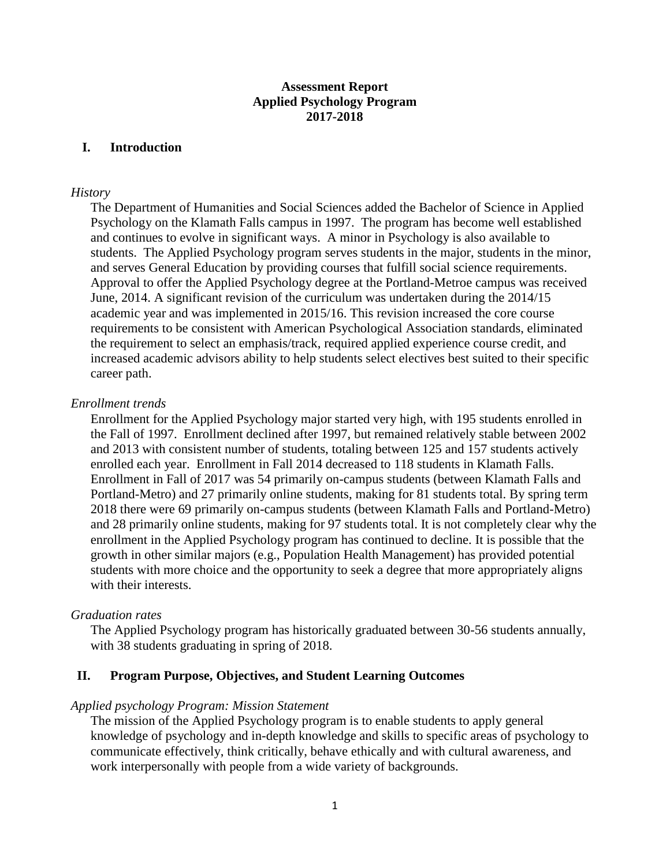### **Assessment Report Applied Psychology Program 2017-2018**

### **I. Introduction**

#### *History*

The Department of Humanities and Social Sciences added the Bachelor of Science in Applied Psychology on the Klamath Falls campus in 1997. The program has become well established and continues to evolve in significant ways. A minor in Psychology is also available to students. The Applied Psychology program serves students in the major, students in the minor, and serves General Education by providing courses that fulfill social science requirements. Approval to offer the Applied Psychology degree at the Portland-Metroe campus was received June, 2014. A significant revision of the curriculum was undertaken during the 2014/15 academic year and was implemented in 2015/16. This revision increased the core course requirements to be consistent with American Psychological Association standards, eliminated the requirement to select an emphasis/track, required applied experience course credit, and increased academic advisors ability to help students select electives best suited to their specific career path.

### *Enrollment trends*

Enrollment for the Applied Psychology major started very high, with 195 students enrolled in the Fall of 1997. Enrollment declined after 1997, but remained relatively stable between 2002 and 2013 with consistent number of students, totaling between 125 and 157 students actively enrolled each year. Enrollment in Fall 2014 decreased to 118 students in Klamath Falls. Enrollment in Fall of 2017 was 54 primarily on-campus students (between Klamath Falls and Portland-Metro) and 27 primarily online students, making for 81 students total. By spring term 2018 there were 69 primarily on-campus students (between Klamath Falls and Portland-Metro) and 28 primarily online students, making for 97 students total. It is not completely clear why the enrollment in the Applied Psychology program has continued to decline. It is possible that the growth in other similar majors (e.g., Population Health Management) has provided potential students with more choice and the opportunity to seek a degree that more appropriately aligns with their interests.

#### *Graduation rates*

The Applied Psychology program has historically graduated between 30-56 students annually, with 38 students graduating in spring of 2018.

### **II. Program Purpose, Objectives, and Student Learning Outcomes**

#### *Applied psychology Program: Mission Statement*

The mission of the Applied Psychology program is to enable students to apply general knowledge of psychology and in-depth knowledge and skills to specific areas of psychology to communicate effectively, think critically, behave ethically and with cultural awareness, and work interpersonally with people from a wide variety of backgrounds.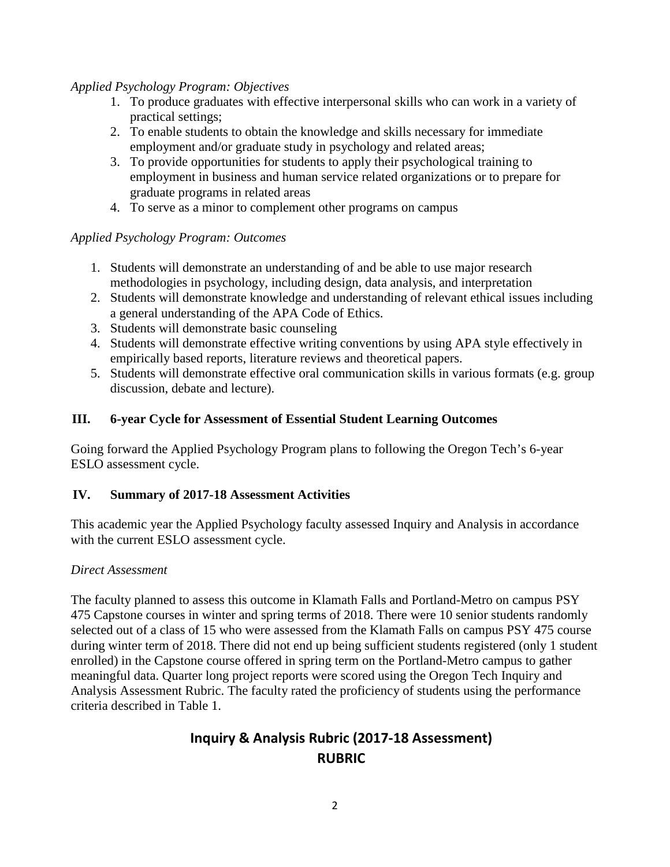# *Applied Psychology Program: Objectives*

- 1. To produce graduates with effective interpersonal skills who can work in a variety of practical settings;
- 2. To enable students to obtain the knowledge and skills necessary for immediate employment and/or graduate study in psychology and related areas;
- 3. To provide opportunities for students to apply their psychological training to employment in business and human service related organizations or to prepare for graduate programs in related areas
- 4. To serve as a minor to complement other programs on campus

# *Applied Psychology Program: Outcomes*

- 1. Students will demonstrate an understanding of and be able to use major research methodologies in psychology, including design, data analysis, and interpretation
- 2. Students will demonstrate knowledge and understanding of relevant ethical issues including a general understanding of the APA Code of Ethics.
- 3. Students will demonstrate basic counseling
- 4. Students will demonstrate effective writing conventions by using APA style effectively in empirically based reports, literature reviews and theoretical papers.
- 5. Students will demonstrate effective oral communication skills in various formats (e.g. group discussion, debate and lecture).

# **III. 6-year Cycle for Assessment of Essential Student Learning Outcomes**

Going forward the Applied Psychology Program plans to following the Oregon Tech's 6-year ESLO assessment cycle.

# **IV. Summary of 2017-18 Assessment Activities**

This academic year the Applied Psychology faculty assessed Inquiry and Analysis in accordance with the current ESLO assessment cycle.

### *Direct Assessment*

The faculty planned to assess this outcome in Klamath Falls and Portland-Metro on campus PSY 475 Capstone courses in winter and spring terms of 2018. There were 10 senior students randomly selected out of a class of 15 who were assessed from the Klamath Falls on campus PSY 475 course during winter term of 2018. There did not end up being sufficient students registered (only 1 student enrolled) in the Capstone course offered in spring term on the Portland-Metro campus to gather meaningful data. Quarter long project reports were scored using the Oregon Tech Inquiry and Analysis Assessment Rubric. The faculty rated the proficiency of students using the performance criteria described in Table 1.

# **Inquiry & Analysis Rubric (2017-18 Assessment) RUBRIC**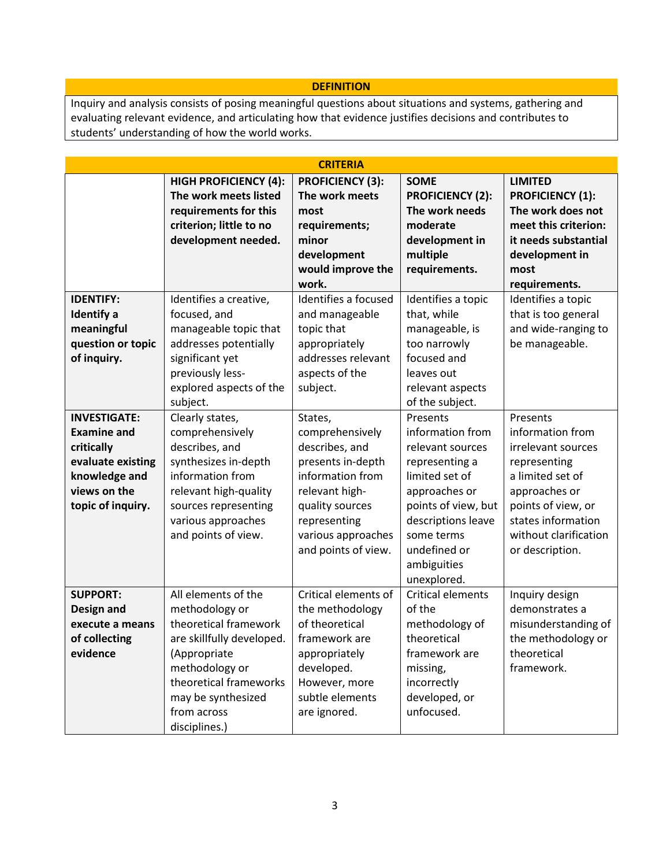#### **DEFINITION**

Inquiry and analysis consists of posing meaningful questions about situations and systems, gathering and evaluating relevant evidence, and articulating how that evidence justifies decisions and contributes to students' understanding of how the world works.

| <b>CRITERIA</b>                                                                                                                    |                                                                                                                                                                                                               |                                                                                                                                                                                         |                                                                                                                                                                                                                |                                                                                                                                                                                                 |  |  |  |  |
|------------------------------------------------------------------------------------------------------------------------------------|---------------------------------------------------------------------------------------------------------------------------------------------------------------------------------------------------------------|-----------------------------------------------------------------------------------------------------------------------------------------------------------------------------------------|----------------------------------------------------------------------------------------------------------------------------------------------------------------------------------------------------------------|-------------------------------------------------------------------------------------------------------------------------------------------------------------------------------------------------|--|--|--|--|
|                                                                                                                                    | <b>HIGH PROFICIENCY (4):</b><br>The work meets listed<br>requirements for this<br>criterion; little to no<br>development needed.                                                                              | <b>PROFICIENCY (3):</b><br>The work meets<br>most<br>requirements;<br>minor<br>development<br>would improve the<br>work.                                                                | <b>SOME</b><br><b>PROFICIENCY (2):</b><br>The work needs<br>moderate<br>development in<br>multiple<br>requirements.                                                                                            | <b>LIMITED</b><br><b>PROFICIENCY (1):</b><br>The work does not<br>meet this criterion:<br>it needs substantial<br>development in<br>most<br>requirements.                                       |  |  |  |  |
| <b>IDENTIFY:</b><br><b>Identify</b> a<br>meaningful<br>question or topic<br>of inquiry.                                            | Identifies a creative,<br>focused, and<br>manageable topic that<br>addresses potentially<br>significant yet<br>previously less-<br>explored aspects of the<br>subject.                                        | Identifies a focused<br>and manageable<br>topic that<br>appropriately<br>addresses relevant<br>aspects of the<br>subject.                                                               | Identifies a topic<br>that, while<br>manageable, is<br>too narrowly<br>focused and<br>leaves out<br>relevant aspects<br>of the subject.                                                                        | Identifies a topic<br>that is too general<br>and wide-ranging to<br>be manageable.                                                                                                              |  |  |  |  |
| <b>INVESTIGATE:</b><br><b>Examine and</b><br>critically<br>evaluate existing<br>knowledge and<br>views on the<br>topic of inquiry. | Clearly states,<br>comprehensively<br>describes, and<br>synthesizes in-depth<br>information from<br>relevant high-quality<br>sources representing<br>various approaches<br>and points of view.                | States,<br>comprehensively<br>describes, and<br>presents in-depth<br>information from<br>relevant high-<br>quality sources<br>representing<br>various approaches<br>and points of view. | Presents<br>information from<br>relevant sources<br>representing a<br>limited set of<br>approaches or<br>points of view, but<br>descriptions leave<br>some terms<br>undefined or<br>ambiguities<br>unexplored. | Presents<br>information from<br>irrelevant sources<br>representing<br>a limited set of<br>approaches or<br>points of view, or<br>states information<br>without clarification<br>or description. |  |  |  |  |
| <b>SUPPORT:</b><br>Design and<br>execute a means<br>of collecting<br>evidence                                                      | All elements of the<br>methodology or<br>theoretical framework<br>are skillfully developed.<br>(Appropriate<br>methodology or<br>theoretical frameworks<br>may be synthesized<br>from across<br>disciplines.) | Critical elements of<br>the methodology<br>of theoretical<br>framework are<br>appropriately<br>developed.<br>However, more<br>subtle elements<br>are ignored.                           | Critical elements<br>of the<br>methodology of<br>theoretical<br>framework are<br>missing,<br>incorrectly<br>developed, or<br>unfocused.                                                                        | Inquiry design<br>demonstrates a<br>misunderstanding of<br>the methodology or<br>theoretical<br>framework.                                                                                      |  |  |  |  |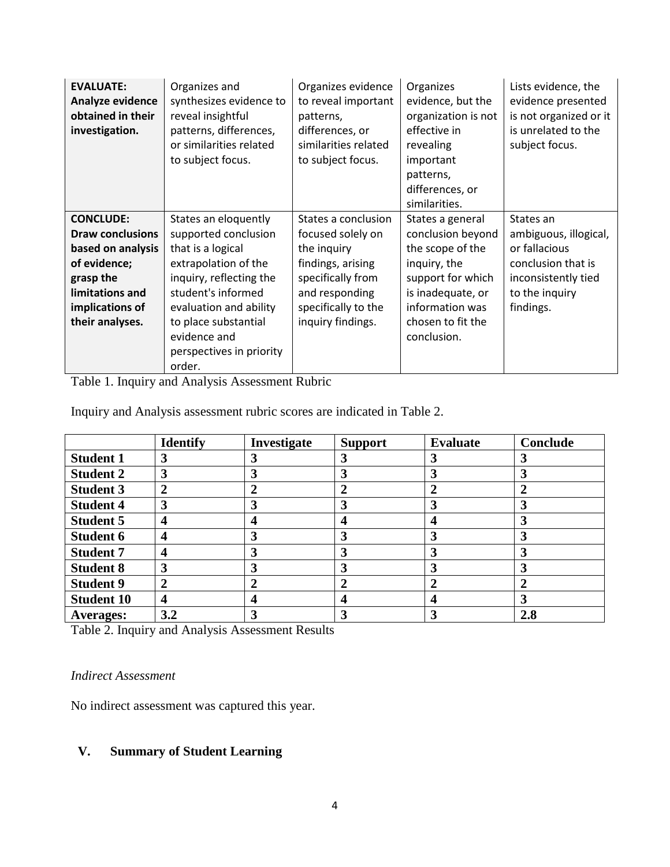| <b>EVALUATE:</b><br>Analyze evidence<br>obtained in their<br>investigation. | Organizes and<br>synthesizes evidence to<br>reveal insightful<br>patterns, differences,<br>or similarities related<br>to subject focus. | Organizes evidence<br>to reveal important<br>patterns,<br>differences, or<br>similarities related<br>to subject focus. | Organizes<br>evidence, but the<br>organization is not<br>effective in<br>revealing<br>important<br>patterns,<br>differences, or<br>similarities. | Lists evidence, the<br>evidence presented<br>is not organized or it<br>is unrelated to the<br>subject focus. |
|-----------------------------------------------------------------------------|-----------------------------------------------------------------------------------------------------------------------------------------|------------------------------------------------------------------------------------------------------------------------|--------------------------------------------------------------------------------------------------------------------------------------------------|--------------------------------------------------------------------------------------------------------------|
| <b>CONCLUDE:</b>                                                            | States an eloquently                                                                                                                    | States a conclusion                                                                                                    | States a general                                                                                                                                 | States an                                                                                                    |
| <b>Draw conclusions</b>                                                     | supported conclusion                                                                                                                    | focused solely on                                                                                                      | conclusion beyond                                                                                                                                | ambiguous, illogical,                                                                                        |
| based on analysis                                                           | that is a logical                                                                                                                       | the inquiry                                                                                                            | the scope of the                                                                                                                                 | or fallacious                                                                                                |
| of evidence;                                                                | extrapolation of the                                                                                                                    | findings, arising                                                                                                      | inquiry, the                                                                                                                                     | conclusion that is                                                                                           |
| grasp the                                                                   | inquiry, reflecting the                                                                                                                 | specifically from                                                                                                      | support for which                                                                                                                                | inconsistently tied                                                                                          |
| limitations and                                                             | student's informed                                                                                                                      | and responding                                                                                                         | is inadequate, or                                                                                                                                | to the inquiry                                                                                               |
| implications of                                                             | evaluation and ability                                                                                                                  | specifically to the                                                                                                    | information was                                                                                                                                  | findings.                                                                                                    |
| their analyses.                                                             | to place substantial                                                                                                                    | inquiry findings.                                                                                                      | chosen to fit the                                                                                                                                |                                                                                                              |
|                                                                             | evidence and                                                                                                                            |                                                                                                                        | conclusion.                                                                                                                                      |                                                                                                              |
|                                                                             | perspectives in priority                                                                                                                |                                                                                                                        |                                                                                                                                                  |                                                                                                              |
|                                                                             | order.                                                                                                                                  |                                                                                                                        |                                                                                                                                                  |                                                                                                              |

Table 1. Inquiry and Analysis Assessment Rubric

Inquiry and Analysis assessment rubric scores are indicated in Table 2.

|                   | <b>Identify</b> | Investigate | <b>Support</b> | <b>Evaluate</b> | Conclude |
|-------------------|-----------------|-------------|----------------|-----------------|----------|
| <b>Student 1</b>  | 3               |             | 3              |                 | 3        |
| <b>Student 2</b>  | 3               |             | 3              |                 | 3        |
| <b>Student 3</b>  | $\mathbf{2}$    | 2           | $\overline{2}$ |                 |          |
| <b>Student 4</b>  | 3               |             | 3              |                 |          |
| <b>Student 5</b>  | 4               |             | 4              |                 |          |
| <b>Student 6</b>  | 4               | 3           | 3              |                 |          |
| <b>Student 7</b>  | 4               | 3           | 3              |                 | 3        |
| <b>Student 8</b>  | 3               |             | 3              |                 | 3        |
| <b>Student 9</b>  | 2               |             | $\overline{2}$ |                 |          |
| <b>Student 10</b> | 4               |             | 4              |                 | 3        |
| <b>Averages:</b>  | 3.2             |             | 3              |                 | 2.8      |

Table 2. Inquiry and Analysis Assessment Results

### *Indirect Assessment*

No indirect assessment was captured this year.

# **V. Summary of Student Learning**